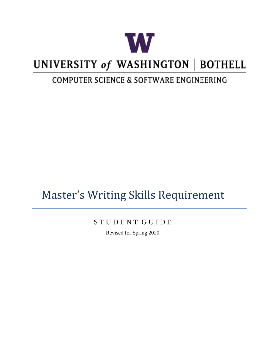

# UNIVERSITY of WASHINGTON | BOTHELL

## COMPUTER SCIENCE & SOFTWARE ENGINEERING

## Master's Writing Skills Requirement

## S T U D E N T G U I D E

Revised for Spring 2020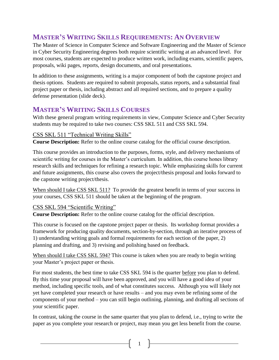## **MASTER'S WRITING SKILLS REQUIREMENTS: AN OVERVIEW**

The Master of Science in Computer Science and Software Engineering and the Master of Science in Cyber Security Engineering degrees both require scientific writing at an advanced level. For most courses, students are expected to produce written work, including exams, scientific papers, proposals, wiki pages, reports, design documents, and oral presentations.

In addition to these assignments, writing is a major component of both the capstone project and thesis options. Students are required to submit proposals, status reports, and a substantial final project paper or thesis, including abstract and all required sections, and to prepare a quality defense presentation (slide deck).

## **MASTER'S WRITING SKILLS COURSES**

With these general program writing requirements in view, Computer Science and Cyber Security students may be required to take two courses: CSS SKL 511 and CSS SKL 594.

## CSS SKL 511 "Technical Writing Skills"

**Course Description:** Refer to the online course catalog for the official course description.

This course provides an introduction to the purposes, forms, style, and delivery mechanisms of scientific writing for courses in the Master's curriculum. In addition, this course hones library research skills and techniques for refining a research topic. While emphasizing skills for current and future assignments, this course also covers the project/thesis proposal and looks forward to the capstone writing project/thesis.

When should I take CSS SKL 511? To provide the greatest benefit in terms of your success in your courses, CSS SKL 511 should be taken at the beginning of the program.

## CSS SKL 594 "Scientific Writing"

**Course Description:** Refer to the online course catalog for the official description.

This course is focused on the capstone project paper or thesis. Its workshop format provides a framework for producing quality documents, section-by-section, through an iterative process of 1) understanding writing goals and formal requirements for each section of the paper, 2) planning and drafting, and 3) revising and polishing based on feedback.

When should I take CSS SKL 594? This course is taken when you are ready to begin writing your Master's project paper or thesis.

For most students, the best time to take CSS SKL 594 is the quarter before you plan to defend. By this time your proposal will have been approved, and you will have a good idea of your method, including specific tools, and of what constitutes success. Although you will likely not yet have completed your research or have results – and you may even be refining some of the components of your method – you can still begin outlining, planning, and drafting all sections of your scientific paper.

In contrast, taking the course in the same quarter that you plan to defend, i.e., trying to write the paper as you complete your research or project, may mean you get less benefit from the course.

 $1 \}$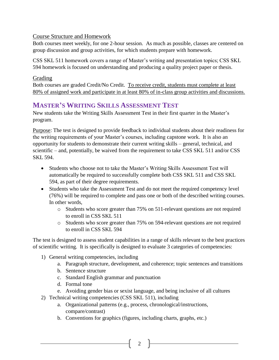## Course Structure and Homework

Both courses meet weekly, for one 2-hour session. As much as possible, classes are centered on group discussion and group activities, for which students prepare with homework.

CSS SKL 511 homework covers a range of Master's writing and presentation topics; CSS SKL 594 homework is focused on understanding and producing a quality project paper or thesis.

## Grading

Both courses are graded Credit/No Credit. To receive credit, students must complete at least 80% of assigned work and participate in at least 80% of in-class group activities and discussions.

## **MASTER'S WRITING SKILLS ASSESSMENT TEST**

New students take the Writing Skills Assessment Test in their first quarter in the Master's program.

Purpose: The test is designed to provide feedback to individual students about their readiness for the writing requirements of your Master's courses, including capstone work. It is also an opportunity for students to demonstrate their current writing skills – general, technical, and scientific – and, potentially, be waived from the requirement to take CSS SKL 511 and/or CSS SKL 594.

- Students who choose not to take the Master's Writing Skills Assessment Test will automatically be required to successfully complete both CSS SKL 511 and CSS SKL 594, as part of their degree requirements.
- Students who take the Assessment Test and do not meet the required competency level (76%) will be required to complete and pass one or both of the described writing courses. In other words,
	- o Students who score greater than 75% on 511-relevant questions are not required to enroll in CSS SKL 511
	- o Students who score greater than 75% on 594-relevant questions are not required to enroll in CSS SKL 594

The test is designed to assess student capabilities in a range of skills relevant to the best practices of scientific writing. It is specifically is designed to evaluate 3 categories of competencies:

- 1) General writing competencies, including
	- a. Paragraph structure, development, and coherence; topic sentences and transitions
	- b. Sentence structure
	- c. Standard English grammar and punctuation
	- d. Formal tone
	- e. Avoiding gender bias or sexist language, and being inclusive of all cultures
- 2) Technical writing competencies (CSS SKL 511), including
	- a. Organizational patterns (e.g., process, chronological/instructions, compare/contrast)
	- b. Conventions for graphics (figures, including charts, graphs, etc.)

2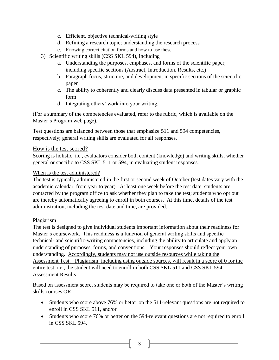- c. Efficient, objective technical-writing style
- d. Refining a research topic; understanding the research process
- e. Knowing correct citation forms and how to use these.
- 3) Scientific writing skills (CSS SKL 594), including
	- a. Understanding the purposes, emphases, and forms of the scientific paper, including specific sections (Abstract, Introduction, Results, etc.)
	- b. Paragraph focus, structure, and development in specific sections of the scientific paper
	- c. The ability to coherently and clearly discuss data presented in tabular or graphic form
	- d. Integrating others' work into your writing.

(For a summary of the competencies evaluated, refer to the rubric, which is available on the Master's Program web page).

Test questions are balanced between those that emphasize 511 and 594 competencies, respectively; general writing skills are evaluated for all responses.

### How is the test scored?

Scoring is holistic, i.e., evaluators consider both content (knowledge) and writing skills, whether general or specific to CSS SKL 511 or 594, in evaluating student responses.

### When is the test administered?

The test is typically administered in the first or second week of October (test dates vary with the academic calendar, from year to year). At least one week before the test date, students are contacted by the program office to ask whether they plan to take the test; students who opt out are thereby automatically agreeing to enroll in both courses. At this time, details of the test administration, including the test date and time, are provided.

### Plagiarism

The test is designed to give individual students important information about their readiness for Master's coursework. This readiness is a function of general writing skills and specific technical- and scientific-writing competencies, including the ability to articulate and apply an understanding of purposes, forms, and conventions. Your responses should reflect your own understanding. Accordingly, students may not use outside resources while taking the Assessment Test. Plagiarism, including using outside sources, will result in a score of 0 for the entire test, i.e., the student will need to enroll in both CSS SKL 511 and CSS SKL 594. Assessment Results

Based on assessment score, students may be required to take one or both of the Master's writing skills courses OR

- Students who score above 76% or better on the 511-relevant questions are not required to enroll in CSS SKL 511, and/or
- Students who score 76% or better on the 594-relevant questions are not required to enroll in CSS SKL 594.

3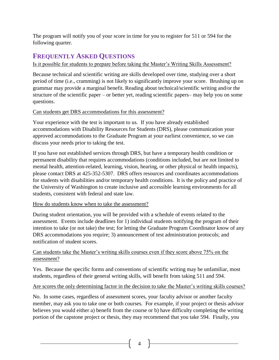The program will notify you of your score in time for you to register for 511 or 594 for the following quarter.

## **FREQUENTLY ASKED QUESTIONS**

## Is it possible for students to prepare before taking the Master's Writing Skills Assessment?

Because technical and scientific writing are skills developed over time, studying over a short period of time (i.e., cramming) is not likely to significantly improve your score. Brushing up on grammar may provide a marginal benefit. Reading about technical/scientific writing and/or the structure of the scientific paper – or better yet, reading scientific papers– may help you on some questions.

### Can students get DRS accommodations for this assessment?

Your experience with the test is important to us. If you have already established accommodations with Disability Resources for Students (DRS), please communication your approved accommodations to the Graduate Program at your earliest convenience, so we can discuss your needs prior to taking the test.

If you have not established services through DRS, but have a temporary health condition or permanent disability that requires accommodations (conditions included, but are not limited to mental health, attention-related, learning, vision, hearing, or other physical or health impacts), please contact DRS at 425-352-5307. DRS offers resources and coordinates accommodations for students with disabilities and/or temporary health conditions. It is the policy and practice of the University of Washington to create inclusive and accessible learning environments for all students, consistent with federal and state law.

### How do students know when to take the assessment?

During student orientation, you will be provided with a schedule of events related to the assessment. Events include deadlines for 1) individual students notifying the program of their intention to take (or not take) the test; for letting the Graduate Program Coordinator know of any DRS accommodations you require; 3) announcement of test administration protocols; and notification of student scores.

### Can students take the Master's writing skills courses even if they score above 75% on the assessment?

Yes. Because the specific forms and conventions of scientific writing may be unfamiliar, most students, regardless of their general writing skills, will benefit from taking 511 and 594.

### Are scores the only determining factor in the decision to take the Master's writing skills courses?

No. In some cases, regardless of assessment scores, your faculty advisor or another faculty member, may ask you to take one or both courses. For example, if your project or thesis advisor believes you would either a) benefit from the course or b) have difficulty completing the writing portion of the capstone project or thesis, they may recommend that you take 594. Finally, you